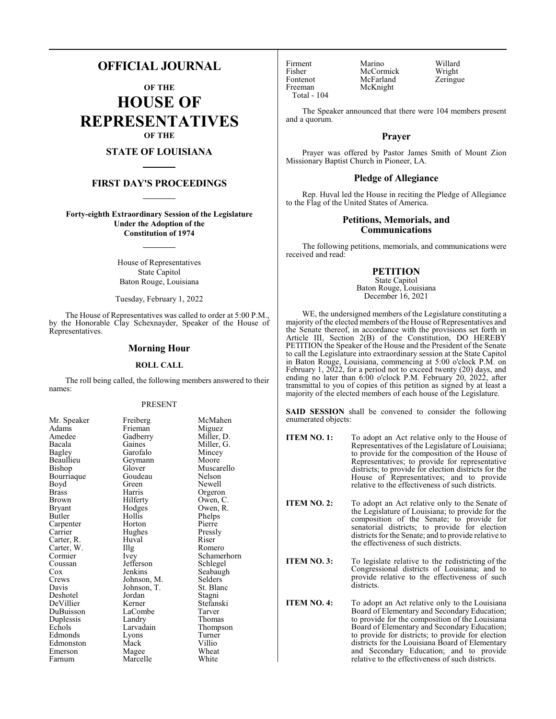# **OFFICIAL JOURNAL**

**OF THE HOUSE OF REPRESENTATIVES OF THE**

# **STATE OF LOUISIANA**

### **FIRST DAY'S PROCEEDINGS**

**Forty-eighth Extraordinary Session of the Legislature Under the Adoption of the Constitution of 1974**

> House of Representatives State Capitol Baton Rouge, Louisiana

Tuesday, February 1, 2022

The House of Representatives was called to order at 5:00 P.M., by the Honorable Clay Schexnayder, Speaker of the House of Representatives.

#### **Morning Hour**

#### **ROLL CALL**

The roll being called, the following members answered to their names:

#### PRESENT

| Mr. Speaker | Freiberg    | McMahen     |
|-------------|-------------|-------------|
| Adams       | Frieman     | Miguez      |
| Amedee      | Gadberry    | Miller, D.  |
| Bacala      | Gaines      | Miller, G.  |
| Bagley      | Garofalo    | Mincey      |
| Beaullieu   | Geymann     | Moore       |
| Bishop      | Glover      | Muscarello  |
| Bourriaque  | Goudeau     | Nelson      |
| Boyd        | Green       | Newell      |
| Brass       | Harris      | Orgeron     |
| Brown       | Hilferty    | Owen, C.    |
| Bryant      | Hodges      | Owen, R.    |
| Butler      | Hollis      | Phelps      |
| Carpenter   | Horton      | Pierre      |
| Carrier     | Hughes      | Pressly     |
| Carter, R.  | Huval       | Riser       |
| Carter, W.  | Illg        | Romero      |
| Cormier     | Ivey        | Schamerhorn |
| Coussan     | Jefferson   | Schlegel    |
| Cox         | Jenkins     | Seabaugh    |
| Crews       | Johnson, M. | Selders     |
| Davis       | Johnson, T. | St. Blanc   |
| Deshotel    | Jordan      | Stagni      |
| DeVillier   | Kerner      | Stefanski   |
| DuBuisson   | LaCombe     | Tarver      |
| Duplessis   | Landry      | Thomas      |
| Echols      | Larvadain   | Thompson    |
| Edmonds     | Lyons       | Turner      |
| Edmonston   | Mack        | Villio      |
| Emerson     | Magee       | Wheat       |
| Farnum      | Marcelle    | White       |
|             |             |             |

Fontenot McFarland<br>Freeman McKnight Total - 104

Firment Marino Willard<br>Fisher McCormick Wright Fisher McCormick Wright<br>Fontenot McFarland Zeringue McKnight

The Speaker announced that there were 104 members present and a quorum.

## **Prayer**

Prayer was offered by Pastor James Smith of Mount Zion Missionary Baptist Church in Pioneer, LA.

#### **Pledge of Allegiance**

Rep. Huval led the House in reciting the Pledge of Allegiance to the Flag of the United States of America.

#### **Petitions, Memorials, and Communications**

The following petitions, memorials, and communications were received and read:

# **PETITION**

State Capitol Baton Rouge, Louisiana December 16, 2021

WE, the undersigned members of the Legislature constituting a majority of the elected members of the House of Representatives and the Senate thereof, in accordance with the provisions set forth in Article III, Section 2(B) of the Constitution, DO HEREBY PETITION the Speaker of the House and the President of the Senate to call the Legislature into extraordinary session at the State Capitol in Baton Rouge, Louisiana, commencing at 5:00 o'clock P.M. on February 1, 2022, for a period not to exceed twenty (20) days, and ending no later than 6:00 o'clock P.M. February 20, 2022, after transmittal to you of copies of this petition as signed by at least a majority of the elected members of each house of the Legislature.

**SAID SESSION** shall be convened to consider the following enumerated objects:

**ITEM NO. 1:** To adopt an Act relative only to the House of Representatives of the Legislature of Louisiana; to provide for the composition of the House of Representatives; to provide for representative districts; to provide for election districts for the House of Representatives; and to provide relative to the effectiveness of such districts.

**ITEM NO. 2:** To adopt an Act relative only to the Senate of the Legislature of Louisiana; to provide for the composition of the Senate; to provide for senatorial districts; to provide for election districts for the Senate; and to provide relative to the effectiveness of such districts.

**ITEM NO. 3:** To legislate relative to the redistricting of the Congressional districts of Louisiana; and to provide relative to the effectiveness of such districts.

**ITEM NO. 4:** To adopt an Act relative only to the Louisiana Board of Elementary and Secondary Education; to provide for the composition of the Louisiana Board of Elementary and Secondary Education; to provide for districts; to provide for election districts for the Louisiana Board of Elementary and Secondary Education; and to provide relative to the effectiveness of such districts.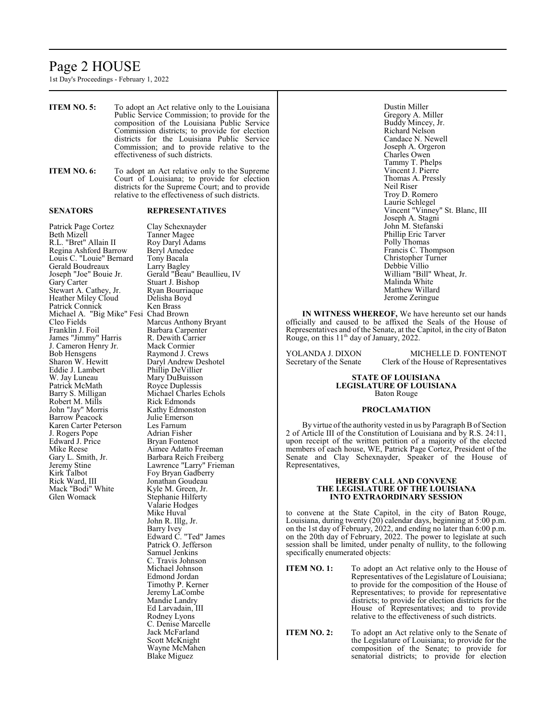# Page 2 HOUSE

1st Day's Proceedings - February 1, 2022

Gary L. Smith, Jr.<br>Barbara Reich Freiberg<br>Lawrence "Larry" Frien Jeremy Stine Lawrence "Larry" Frieman Kirk Talbot Foy Bryan Gadberry<br>Rick Ward, III Fonathan Goudeau

Mack "Bodi" White<br>Glen Womack

Jonathan Goudeau<br>Kyle M. Green, Jr.

Stephanie Hilferty Valarie Hodges Mike Huval John R. Illg, Jr. Barry Ivey

Edward C. "Ted" James Patrick O. Jefferson Samuel Jenkins C. Travis Johnson Michael Johnson Edmond Jordan Timothy P. Kerner Jeremy LaCombe Mandie Landry Ed Larvadain, III Rodney Lyons C. Denise Marcelle Jack McFarland Scott McKnight Wayne McMahen Blake Miguez

**ITEM NO. 5:** To adopt an Act relative only to the Louisiana Public Service Commission; to provide for the composition of the Louisiana Public Service Commission districts; to provide for election districts for the Louisiana Public Service Commission; and to provide relative to the effectiveness of such districts. **ITEM NO. 6:** To adopt an Act relative only to the Supreme Court of Louisiana; to provide for election districts for the Supreme Court; and to provide relative to the effectiveness of such districts. **SENATORS REPRESENTATIVES** Patrick Page Cortez Clay Schexnayder<br>Beth Mizell Tanner Magee Tanner Magee<br>Roy Daryl Adams R.L. "Bret" Allain II Roy Daryl Adams Regina Ashford Barrow Beryl Amedee Regina Ashford Barrow Beryl Amede<br>Louis C. "Louie" Bernard Tony Bacala Louis C. "Louie" Bernard Tony Bacala Gerald Boudreaux Larry Bagley Joseph "Joe" Bouie Jr. Gerald "Beau" Beaullieu, IV Stuart J. Bishop<br>Ryan Bourriaque Stewart A. Cathey, Jr. Ryan Bourriac<br>Heather Miley Cloud Delisha Boyd Heather Miley Cloud Delisha Bo<br>Patrick Connick Ken Brass Patrick Connick<br>
Michael A. "Big Mike" Fesi Chad Brown Michael A. "Big Mike" Fesi<br>Cleo Fields Cleo Fields Marcus Anthony Bryant<br>
Franklin J. Foil Barbara Carpenter Barbara Carpenter<br>R. Dewith Carrier James "Jimmy" Harris R. Dewith Carr<br>J. Cameron Henry Jr. Mack Cormier J. Cameron Henry Jr.<br>Bob Hensgens Bob Hensgens Raymond J. Crews<br>
Sharon W. Hewitt Daryl Andrew Des Sharon W. Hewitt Daryl Andrew Deshotel<br>Eddie J. Lambert Phillip DeVillier Eddie J. Lambert Phillip DeVillier W. Jay Luneau Mary DuBuisson<br>
Patrick McMath Royce Duplessis Patrick McMath Royce Duplessis<br>
Barry S. Milligan Michael Charles Michael Charles Echols Robert M. Mills **Rick Edmonds**<br>
John "Jay" Morris Kathy Edmonston John "Jay" Morris Kathy Edmons<br>Barrow Peacock Julie Emerson Barrow Peacock Karen Carter Peterson Les Farnum<br>
J. Rogers Pope Adrian Fisher J. Rogers Pope<br>Edward J. Price Edward J. Price Bryan Fontenot<br>
Mike Reese Aimee Adatto F Mike Reese Aimee Adatto Freeman<br>Gary L. Smith, Jr. Barbara Reich Freiberg Dustin Miller Gregory A. Miller Buddy Mincey, Jr. Richard Nelson Candace N. Newell Joseph A. Orgeron Charles Owen Tammy T. Phelps Vincent J. Pierre Thomas A. Pressly Neil Riser Troy D. Romero Laurie Schlegel Vincent "Vinney" St. Blanc, III Joseph A. Stagni John M. Stefanski Phillip Eric Tarver Polly Thomas Francis C. Thompson Christopher Turner Debbie Villio William "Bill" Wheat, Jr. Malinda White Matthew Willard Jerome Zeringue **IN WITNESS WHEREOF,** We have hereunto set our hands officially and caused to be affixed the Seals of the House of Representatives and of the Senate, at the Capitol, in the city of Baton Rouge, on this 11<sup>th</sup> day of January, 2022. YOLANDA J. DIXON MICHELLE D. FONTENOT<br>Secretary of the Senate Clerk of the House of Representatives Clerk of the House of Representatives **STATE OF LOUISIANA LEGISLATURE OF LOUISIANA** Baton Rouge **PROCLAMATION** By virtue of the authority vested in us by Paragraph B of Section 2 of Article III of the Constitution of Louisiana and by R.S. 24:11, upon receipt of the written petition of a majority of the elected members of each house, WE, Patrick Page Cortez, President of the

Representatives,

#### **HEREBY CALL AND CONVENE THE LEGISLATURE OF THE LOUISIANA INTO EXTRAORDINARY SESSION**

Senate and Clay Schexnayder, Speaker of the House of

to convene at the State Capitol, in the city of Baton Rouge, Louisiana, during twenty (20) calendar days, beginning at 5:00 p.m. on the 1st day of February, 2022, and ending no later than 6:00 p.m. on the 20th day of February, 2022. The power to legislate at such session shall be limited, under penalty of nullity, to the following specifically enumerated objects:

- **ITEM NO. 1:** To adopt an Act relative only to the House of Representatives of the Legislature of Louisiana; to provide for the composition of the House of Representatives; to provide for representative districts; to provide for election districts for the House of Representatives; and to provide relative to the effectiveness of such districts.
- **ITEM NO. 2:** To adopt an Act relative only to the Senate of the Legislature of Louisiana; to provide for the composition of the Senate; to provide for senatorial districts; to provide for election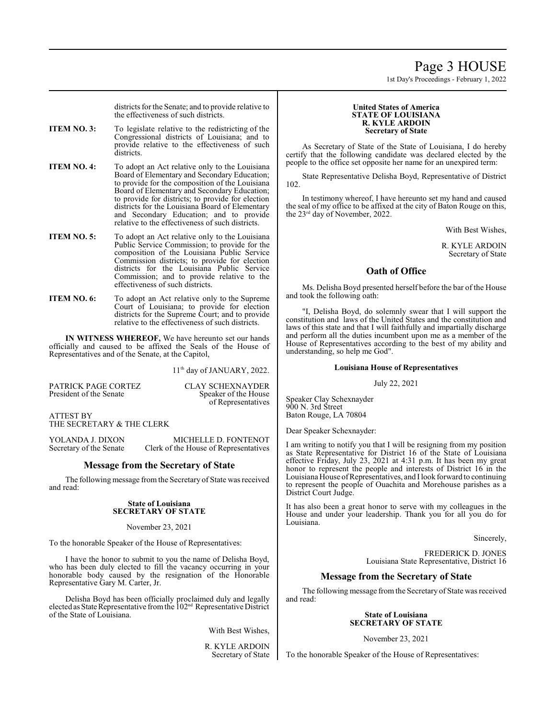# Page 3 HOUSE

1st Day's Proceedings - February 1, 2022

districts for the Senate; and to provide relative to the effectiveness of such districts.

**ITEM NO. 3:** To legislate relative to the redistricting of the Congressional districts of Louisiana; and to provide relative to the effectiveness of such districts.

**ITEM NO. 4:** To adopt an Act relative only to the Louisiana Board of Elementary and Secondary Education; to provide for the composition of the Louisiana Board of Elementary and Secondary Education; to provide for districts; to provide for election districts for the Louisiana Board of Elementary and Secondary Education; and to provide relative to the effectiveness of such districts.

- **ITEM NO. 5:** To adopt an Act relative only to the Louisiana Public Service Commission; to provide for the composition of the Louisiana Public Service Commission districts; to provide for election districts for the Louisiana Public Service Commission; and to provide relative to the effectiveness of such districts.
- **ITEM NO. 6:** To adopt an Act relative only to the Supreme Court of Louisiana; to provide for election districts for the Supreme Court; and to provide relative to the effectiveness of such districts.

**IN WITNESS WHEREOF,** We have hereunto set our hands officially and caused to be affixed the Seals of the House of Representatives and of the Senate, at the Capitol,

11<sup>th</sup> day of JANUARY, 2022.

PATRICK PAGE CORTEZ<br>
President of the Senate<br>
Speaker of the House

Speaker of the House of Representatives

ATTEST BY THE SECRETARY & THE CLERK

YOLANDA J. DIXON MICHELLE D. FONTENOT<br>Secretary of the Senate Clerk of the House of Representatives Clerk of the House of Representatives

# **Message from the Secretary of State**

The following message fromthe Secretary of State was received and read:

#### **State of Louisiana SECRETARY OF STATE**

#### November 23, 2021

To the honorable Speaker of the House of Representatives:

I have the honor to submit to you the name of Delisha Boyd, who has been duly elected to fill the vacancy occurring in your honorable body caused by the resignation of the Honorable Representative Gary M. Carter, Jr.

Delisha Boyd has been officially proclaimed duly and legally elected as State Representative from the 102<sup>nd</sup> Representative District of the State of Louisiana.

With Best Wishes,

R. KYLE ARDOIN Secretary of State

#### **United States of America STATE OF LOUISIANA R. KYLE ARDOIN Secretary of State**

As Secretary of State of the State of Louisiana, I do hereby certify that the following candidate was declared elected by the people to the office set opposite her name for an unexpired term:

State Representative Delisha Boyd, Representative of District 102.

In testimony whereof, I have hereunto set my hand and caused the seal of my office to be affixed at the city of Baton Rouge on this, the 23 rd day of November, 2022.

With Best Wishes,

R. KYLE ARDOIN Secretary of State

# **Oath of Office**

Ms. Delisha Boyd presented herself before the bar of the House and took the following oath:

"I, Delisha Boyd, do solemnly swear that I will support the constitution and laws of the United States and the constitution and laws of this state and that I will faithfully and impartially discharge and perform all the duties incumbent upon me as a member of the House of Representatives according to the best of my ability and understanding, so help me God".

## **Louisiana House of Representatives**

July 22, 2021

Speaker Clay Schexnayder 900 N. 3rd Street Baton Rouge, LA 70804

Dear Speaker Schexnayder:

I am writing to notify you that I will be resigning from my position as State Representative for District 16 of the State of Louisiana effective Friday, July 23, 2021 at 4:31 p.m. It has been my great honor to represent the people and interests of District 16 in the Louisiana House ofRepresentatives, and I look forward to continuing to represent the people of Ouachita and Morehouse parishes as a District Court Judge.

It has also been a great honor to serve with my colleagues in the House and under your leadership. Thank you for all you do for Louisiana.

Sincerely,

FREDERICK D. JONES Louisiana State Representative, District 16

# **Message from the Secretary of State**

The following message fromthe Secretary of State was received and read:

#### **State of Louisiana SECRETARY OF STATE**

November 23, 2021

To the honorable Speaker of the House of Representatives: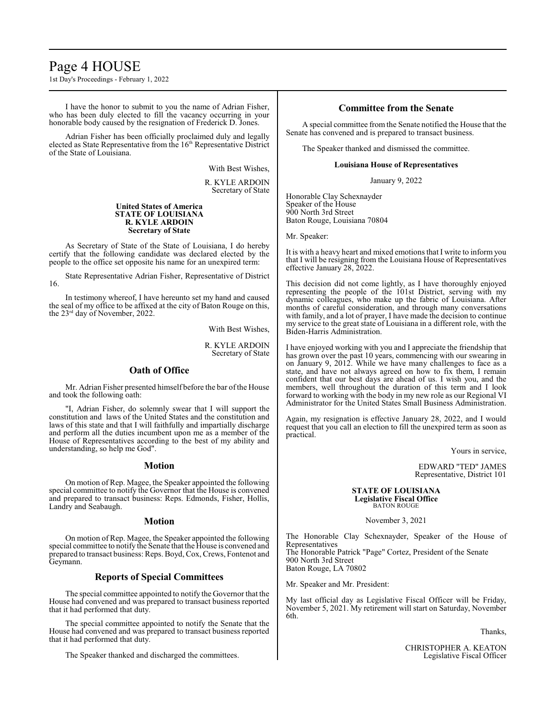# Page 4 HOUSE

1st Day's Proceedings - February 1, 2022

I have the honor to submit to you the name of Adrian Fisher, who has been duly elected to fill the vacancy occurring in your honorable body caused by the resignation of Frederick D. Jones.

Adrian Fisher has been officially proclaimed duly and legally elected as State Representative from the 16<sup>th</sup> Representative District of the State of Louisiana.

With Best Wishes,

R. KYLE ARDOIN Secretary of State

#### **United States of America STATE OF LOUISIANA R. KYLE ARDOIN Secretary of State**

As Secretary of State of the State of Louisiana, I do hereby certify that the following candidate was declared elected by the people to the office set opposite his name for an unexpired term:

State Representative Adrian Fisher, Representative of District 16.

In testimony whereof, I have hereunto set my hand and caused the seal of my office to be affixed at the city of Baton Rouge on this, the 23 rd day of November, 2022.

With Best Wishes,

R. KYLE ARDOIN Secretary of State

# **Oath of Office**

Mr. Adrian Fisher presented himself before the bar of the House and took the following oath:

"I, Adrian Fisher, do solemnly swear that I will support the constitution and laws of the United States and the constitution and laws of this state and that I will faithfully and impartially discharge and perform all the duties incumbent upon me as a member of the House of Representatives according to the best of my ability and understanding, so help me God".

#### **Motion**

On motion of Rep. Magee, the Speaker appointed the following special committee to notify the Governor that the House is convened and prepared to transact business: Reps. Edmonds, Fisher, Hollis, Landry and Seabaugh.

#### **Motion**

On motion of Rep. Magee, the Speaker appointed the following special committee to notify the Senate that the House is convened and prepared to transact business: Reps. Boyd, Cox, Crews, Fontenot and Geymann.

#### **Reports of Special Committees**

The special committee appointed to notify the Governor that the House had convened and was prepared to transact business reported that it had performed that duty.

The special committee appointed to notify the Senate that the House had convened and was prepared to transact business reported that it had performed that duty.

The Speaker thanked and discharged the committees.

## **Committee from the Senate**

A special committee from the Senate notified the House that the Senate has convened and is prepared to transact business.

The Speaker thanked and dismissed the committee.

#### **Louisiana House of Representatives**

January 9, 2022

Honorable Clay Schexnayder Speaker of the House 900 North 3rd Street Baton Rouge, Louisiana 70804

Mr. Speaker:

It is with a heavy heart and mixed emotions that I write to inform you that I will be resigning from the Louisiana House of Representatives effective January 28, 2022.

This decision did not come lightly, as I have thoroughly enjoyed representing the people of the 101st District, serving with my dynamic colleagues, who make up the fabric of Louisiana. After months of careful consideration, and through many conversations with family, and a lot of prayer, I have made the decision to continue my service to the great state of Louisiana in a different role, with the Biden-Harris Administration.

I have enjoyed working with you and I appreciate the friendship that has grown over the past 10 years, commencing with our swearing in on January 9, 2012. While we have many challenges to face as a state, and have not always agreed on how to fix them, I remain confident that our best days are ahead of us. I wish you, and the members, well throughout the duration of this term and I look forward to working with the body in my new role as our Regional VI Administrator for the United States Small Business Administration.

Again, my resignation is effective January 28, 2022, and I would request that you call an election to fill the unexpired term as soon as practical.

Yours in service,

EDWARD "TED" JAMES Representative, District 101

#### **STATE OF LOUISIANA Legislative Fiscal Office** BATON ROUGE

November 3, 2021

The Honorable Clay Schexnayder, Speaker of the House of Representatives The Honorable Patrick "Page" Cortez, President of the Senate 900 North 3rd Street Baton Rouge, LA 70802

Mr. Speaker and Mr. President:

My last official day as Legislative Fiscal Officer will be Friday, November 5, 2021. My retirement will start on Saturday, November 6th.

Thanks,

CHRISTOPHER A. KEATON Legislative Fiscal Officer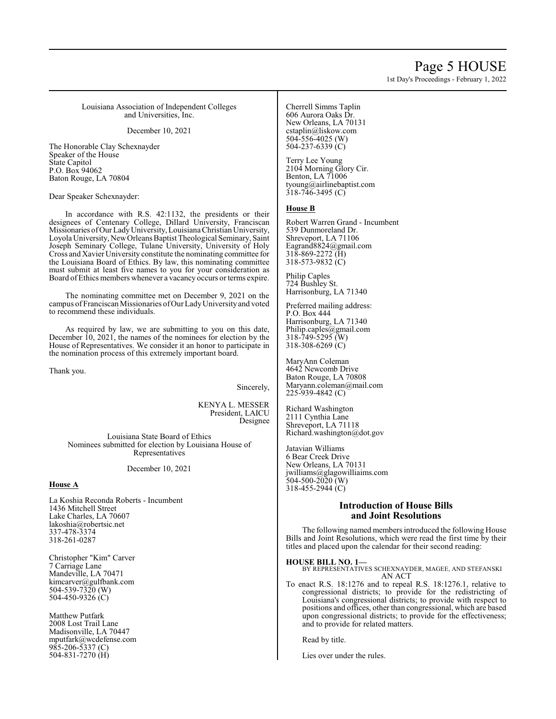# Page 5 HOUSE

1st Day's Proceedings - February 1, 2022

Louisiana Association of Independent Colleges and Universities, Inc.

December 10, 2021

The Honorable Clay Schexnayder Speaker of the House State Capitol P.O. Box 94062 Baton Rouge, LA 70804

Dear Speaker Schexnayder:

In accordance with R.S. 42:1132, the presidents or their designees of Centenary College, Dillard University, Franciscan Missionaries ofOur LadyUniversity, Louisiana Christian University, Loyola University, NewOrleans Baptist Theological Seminary, Saint Joseph Seminary College, Tulane University, University of Holy Cross and Xavier University constitute the nominating committee for the Louisiana Board of Ethics. By law, this nominating committee must submit at least five names to you for your consideration as Board ofEthics members whenever a vacancy occurs or terms expire.

The nominating committee met on December 9, 2021 on the campus of Franciscan Missionaries ofOur LadyUniversityand voted to recommend these individuals.

As required by law, we are submitting to you on this date, December 10, 2021, the names of the nominees for election by the House of Representatives. We consider it an honor to participate in the nomination process of this extremely important board.

Thank you.

Sincerely,

KENYA L. MESSER President, LAICU Designee

Louisiana State Board of Ethics Nominees submitted for election by Louisiana House of Representatives

December 10, 2021

#### **House A**

La Koshia Reconda Roberts - Incumbent 1436 Mitchell Street Lake Charles, LA 70607 lakoshia@robertsic.net 337-478-3374 318-261-0287

Christopher "Kim" Carver 7 Carriage Lane Mandeville, LA 70471 kimcarver@gulfbank.com 504-539-7320 (W) 504-450-9326 (C)

Matthew Putfark 2008 Lost Trail Lane Madisonville, LA 70447 mputfark@wcdefense.com 985-206-5337 (C) 504-831-7270 (H)

Cherrell Simms Taplin 606 Aurora Oaks Dr. New Orleans, LA 70131 cstaplin@liskow.com 504-556-4025 (W) 504-237-6339 $(C)$ 

Terry Lee Young 2104 Morning Glory Cir. Benton, LA 71006 tyoung@airlinebaptist.com  $318 - 746 - 3495$  (C)

### **House B**

Robert Warren Grand - Incumbent 539 Dunmoreland Dr. Shreveport, LA 71106 Eagrand8824@gmail.com 318-869-2272 (H) 318-573-9832 (C)

Philip Caples 724 Bushley St. Harrisonburg, LA 71340

Preferred mailing address: P.O. Box 444 Harrisonburg, LA 71340 Philip.caples@gmail.com 318-749-5295 (W)  $318 - 308 - 6269$  (C)

MaryAnn Coleman 4642 Newcomb Drive Baton Rouge, LA 70808 Maryann.coleman@mail.com 225-939-4842 (C)

Richard Washington 2111 Cynthia Lane Shreveport, LA 71118 Richard.washington@dot.gov

Jatavian Williams 6 Bear Creek Drive New Orleans, LA 70131 jwilliams@glagowilliaims.com 504-500-2020 (W)  $318-455-2944$  (C)

#### **Introduction of House Bills and Joint Resolutions**

The following named members introduced the following House Bills and Joint Resolutions, which were read the first time by their titles and placed upon the calendar for their second reading:

**HOUSE BILL NO. 1—** BY REPRESENTATIVES SCHEXNAYDER, MAGEE, AND STEFANSKI AN ACT

To enact R.S. 18:1276 and to repeal R.S. 18:1276.1, relative to congressional districts; to provide for the redistricting of Louisiana's congressional districts; to provide with respect to positions and offices, other than congressional, which are based upon congressional districts; to provide for the effectiveness; and to provide for related matters.

Read by title.

Lies over under the rules.